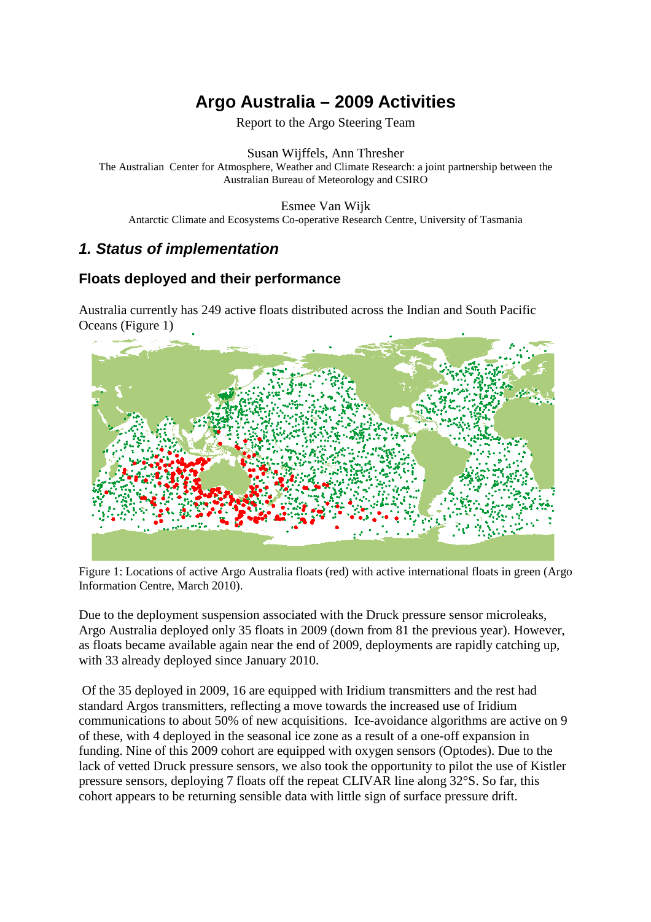# **Argo Australia – 2009 Activities**

Report to the Argo Steering Team

Susan Wijffels, Ann Thresher The Australian Center for Atmosphere, Weather and Climate Research: a joint partnership between the Australian Bureau of Meteorology and CSIRO

Esmee Van Wijk

Antarctic Climate and Ecosystems Co-operative Research Centre, University of Tasmania

## **1. Status of implementation**

## **Floats deployed and their performance**

Australia currently has 249 active floats distributed across the Indian and South Pacific Oceans (Figure 1)



Figure 1: Locations of active Argo Australia floats (red) with active international floats in green (Argo Information Centre, March 2010).

Due to the deployment suspension associated with the Druck pressure sensor microleaks, Argo Australia deployed only 35 floats in 2009 (down from 81 the previous year). However, as floats became available again near the end of 2009, deployments are rapidly catching up, with 33 already deployed since January 2010.

 Of the 35 deployed in 2009, 16 are equipped with Iridium transmitters and the rest had standard Argos transmitters, reflecting a move towards the increased use of Iridium communications to about 50% of new acquisitions. Ice-avoidance algorithms are active on 9 of these, with 4 deployed in the seasonal ice zone as a result of a one-off expansion in funding. Nine of this 2009 cohort are equipped with oxygen sensors (Optodes). Due to the lack of vetted Druck pressure sensors, we also took the opportunity to pilot the use of Kistler pressure sensors, deploying 7 floats off the repeat CLIVAR line along 32°S. So far, this cohort appears to be returning sensible data with little sign of surface pressure drift.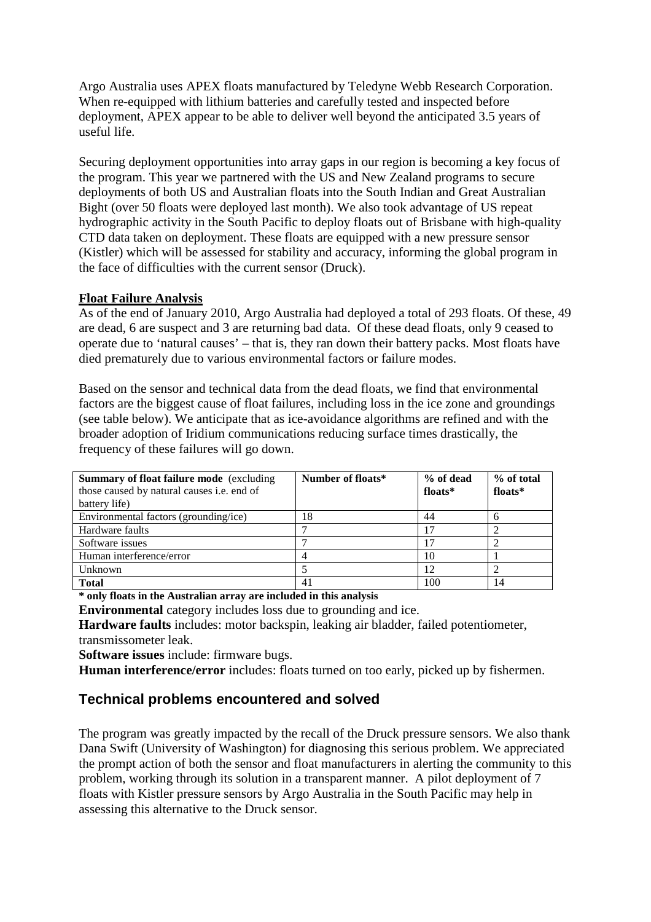Argo Australia uses APEX floats manufactured by Teledyne Webb Research Corporation. When re-equipped with lithium batteries and carefully tested and inspected before deployment, APEX appear to be able to deliver well beyond the anticipated 3.5 years of useful life.

Securing deployment opportunities into array gaps in our region is becoming a key focus of the program. This year we partnered with the US and New Zealand programs to secure deployments of both US and Australian floats into the South Indian and Great Australian Bight (over 50 floats were deployed last month). We also took advantage of US repeat hydrographic activity in the South Pacific to deploy floats out of Brisbane with high-quality CTD data taken on deployment. These floats are equipped with a new pressure sensor (Kistler) which will be assessed for stability and accuracy, informing the global program in the face of difficulties with the current sensor (Druck).

#### **Float Failure Analysis**

As of the end of January 2010, Argo Australia had deployed a total of 293 floats. Of these, 49 are dead, 6 are suspect and 3 are returning bad data. Of these dead floats, only 9 ceased to operate due to 'natural causes' – that is, they ran down their battery packs. Most floats have died prematurely due to various environmental factors or failure modes.

Based on the sensor and technical data from the dead floats, we find that environmental factors are the biggest cause of float failures, including loss in the ice zone and groundings (see table below). We anticipate that as ice-avoidance algorithms are refined and with the broader adoption of Iridium communications reducing surface times drastically, the frequency of these failures will go down.

| <b>Summary of float failure mode</b> (excluding)<br>those caused by natural causes i.e. end of<br>battery life) | Number of floats* | % of dead<br>floats* | % of total<br>floats* |
|-----------------------------------------------------------------------------------------------------------------|-------------------|----------------------|-----------------------|
| Environmental factors (grounding/ice)                                                                           | 18                | 44                   | 6                     |
| Hardware faults                                                                                                 |                   | 17                   |                       |
| Software issues                                                                                                 |                   |                      |                       |
| Human interference/error                                                                                        |                   | 10                   |                       |
| Unknown                                                                                                         |                   | 12                   |                       |
| <b>Total</b>                                                                                                    | 41                | 100                  | 14                    |

**\* only floats in the Australian array are included in this analysis** 

**Environmental** category includes loss due to grounding and ice.

**Hardware faults** includes: motor backspin, leaking air bladder, failed potentiometer, transmissometer leak.

**Software issues** include: firmware bugs.

**Human interference/error** includes: floats turned on too early, picked up by fishermen.

#### **Technical problems encountered and solved**

The program was greatly impacted by the recall of the Druck pressure sensors. We also thank Dana Swift (University of Washington) for diagnosing this serious problem. We appreciated the prompt action of both the sensor and float manufacturers in alerting the community to this problem, working through its solution in a transparent manner. A pilot deployment of 7 floats with Kistler pressure sensors by Argo Australia in the South Pacific may help in assessing this alternative to the Druck sensor.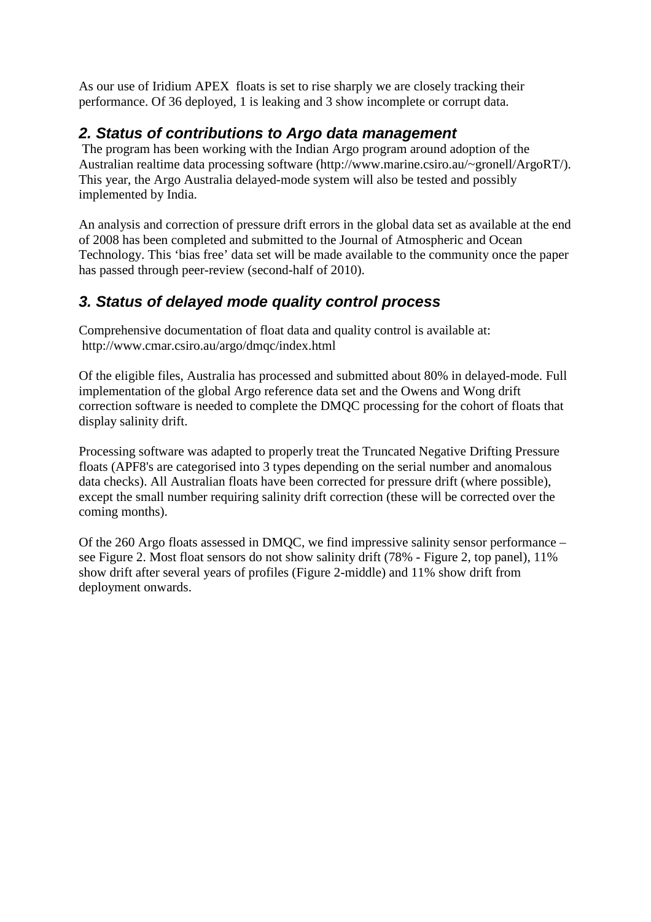As our use of Iridium APEX floats is set to rise sharply we are closely tracking their performance. Of 36 deployed, 1 is leaking and 3 show incomplete or corrupt data.

## **2. Status of contributions to Argo data management**

 The program has been working with the Indian Argo program around adoption of the Australian realtime data processing software (http://www.marine.csiro.au/~gronell/ArgoRT/). This year, the Argo Australia delayed-mode system will also be tested and possibly implemented by India.

An analysis and correction of pressure drift errors in the global data set as available at the end of 2008 has been completed and submitted to the Journal of Atmospheric and Ocean Technology. This 'bias free' data set will be made available to the community once the paper has passed through peer-review (second-half of 2010).

## **3. Status of delayed mode quality control process**

Comprehensive documentation of float data and quality control is available at: http://www.cmar.csiro.au/argo/dmqc/index.html

Of the eligible files, Australia has processed and submitted about 80% in delayed-mode. Full implementation of the global Argo reference data set and the Owens and Wong drift correction software is needed to complete the DMQC processing for the cohort of floats that display salinity drift.

Processing software was adapted to properly treat the Truncated Negative Drifting Pressure floats (APF8's are categorised into 3 types depending on the serial number and anomalous data checks). All Australian floats have been corrected for pressure drift (where possible), except the small number requiring salinity drift correction (these will be corrected over the coming months).

Of the 260 Argo floats assessed in DMQC, we find impressive salinity sensor performance – see Figure 2. Most float sensors do not show salinity drift (78% - Figure 2, top panel), 11% show drift after several years of profiles (Figure 2-middle) and 11% show drift from deployment onwards.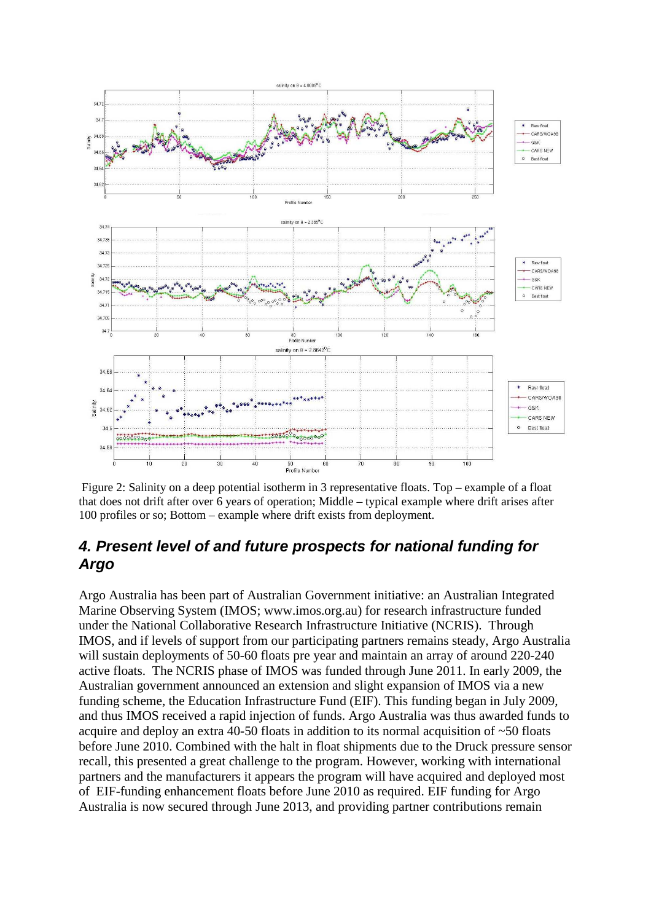

 Figure 2: Salinity on a deep potential isotherm in 3 representative floats. Top – example of a float that does not drift after over 6 years of operation; Middle – typical example where drift arises after 100 profiles or so; Bottom – example where drift exists from deployment.

## **4. Present level of and future prospects for national funding for Argo**

Argo Australia has been part of Australian Government initiative: an Australian Integrated Marine Observing System (IMOS; www.imos.org.au) for research infrastructure funded under the National Collaborative Research Infrastructure Initiative (NCRIS). Through IMOS, and if levels of support from our participating partners remains steady, Argo Australia will sustain deployments of 50-60 floats pre year and maintain an array of around 220-240 active floats. The NCRIS phase of IMOS was funded through June 2011. In early 2009, the Australian government announced an extension and slight expansion of IMOS via a new funding scheme, the Education Infrastructure Fund (EIF). This funding began in July 2009, and thus IMOS received a rapid injection of funds. Argo Australia was thus awarded funds to acquire and deploy an extra 40-50 floats in addition to its normal acquisition of ~50 floats before June 2010. Combined with the halt in float shipments due to the Druck pressure sensor recall, this presented a great challenge to the program. However, working with international partners and the manufacturers it appears the program will have acquired and deployed most of EIF-funding enhancement floats before June 2010 as required. EIF funding for Argo Australia is now secured through June 2013, and providing partner contributions remain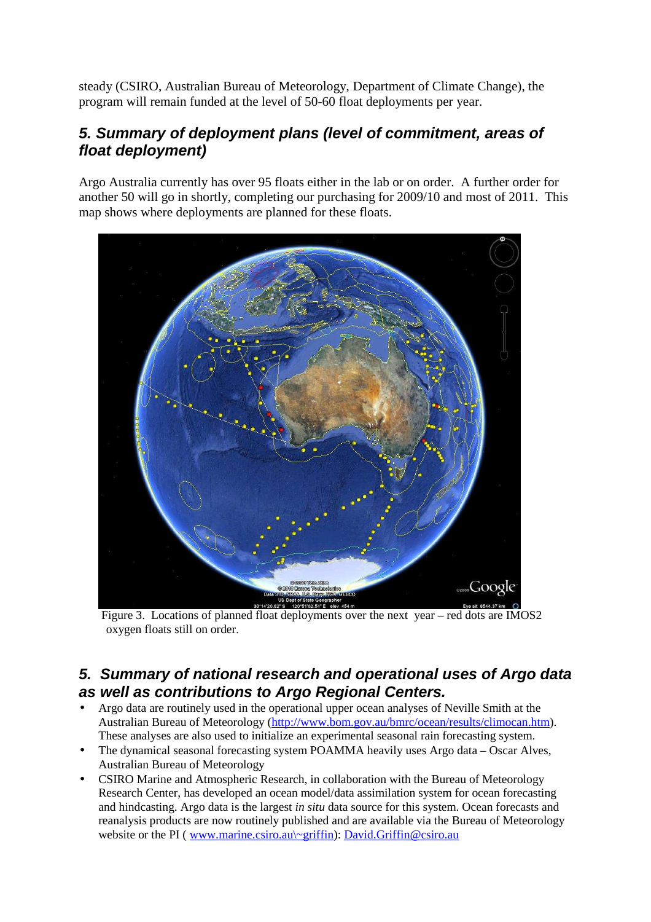steady (CSIRO, Australian Bureau of Meteorology, Department of Climate Change), the program will remain funded at the level of 50-60 float deployments per year.

## **5. Summary of deployment plans (level of commitment, areas of float deployment)**

Argo Australia currently has over 95 floats either in the lab or on order. A further order for another 50 will go in shortly, completing our purchasing for 2009/10 and most of 2011. This map shows where deployments are planned for these floats.



 Figure 3. Locations of planned float deployments over the next year – red dots are IMOS2 oxygen floats still on order.

## **5. Summary of national research and operational uses of Argo data as well as contributions to Argo Regional Centers.**

- Argo data are routinely used in the operational upper ocean analyses of Neville Smith at the Australian Bureau of Meteorology (http://www.bom.gov.au/bmrc/ocean/results/climocan.htm). These analyses are also used to initialize an experimental seasonal rain forecasting system.
- The dynamical seasonal forecasting system POAMMA heavily uses Argo data Oscar Alves, Australian Bureau of Meteorology
- CSIRO Marine and Atmospheric Research, in collaboration with the Bureau of Meteorology Research Center, has developed an ocean model/data assimilation system for ocean forecasting and hindcasting. Argo data is the largest *in situ* data source for this system. Ocean forecasts and reanalysis products are now routinely published and are available via the Bureau of Meteorology website or the PI (www.marine.csiro.au\~griffin): David.Griffin@csiro.au